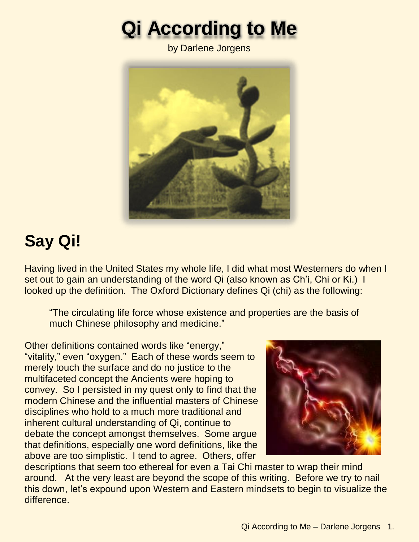# **Qi According to Me**

by Darlene Jorgens



# **Say Qi!**

Having lived in the United States my whole life, I did what most Westerners do when I set out to gain an understanding of the word Qi (also known as Ch'i, Chi or Ki.) I looked up the definition. The Oxford Dictionary defines Qi (chi) as the following:

"The circulating life force whose existence and properties are the basis of much Chinese philosophy and medicine."

Other definitions contained words like "energy," "vitality," even "oxygen." Each of these words seem to merely touch the surface and do no justice to the multifaceted concept the Ancients were hoping to convey. So I persisted in my quest only to find that the modern Chinese and the influential masters of Chinese disciplines who hold to a much more traditional and inherent cultural understanding of Qi, continue to debate the concept amongst themselves. Some argue that definitions, especially one word definitions, like the above are too simplistic. I tend to agree. Others, offer



descriptions that seem too ethereal for even a Tai Chi master to wrap their mind around. At the very least are beyond the scope of this writing. Before we try to nail this down, let's expound upon Western and Eastern mindsets to begin to visualize the difference.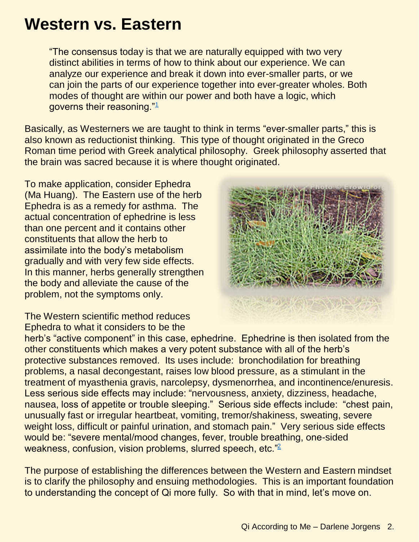#### **Western vs. Eastern**

"The consensus today is that we are naturally equipped with two very distinct abilities in terms of how to think about our experience. We can analyze our experience and break it down into ever-smaller parts, or we can join the parts of our experience together into ever-greater wholes. Both modes of thought are within our power and both have a logic, which governs their reasoning."[1](http://www.the-philosopher.co.uk/plato-and-bicameral-brain.htm)

Basically, as Westerners we are taught to think in terms "ever-smaller parts," this is also known as reductionist thinking. This type of thought originated in the Greco Roman time period with Greek analytical philosophy. Greek philosophy asserted that the brain was sacred because it is where thought originated.

To make application, consider Ephedra (Ma Huang). The Eastern use of the herb Ephedra is as a remedy for asthma. The actual concentration of ephedrine is less than one percent and it contains other constituents that allow the herb to assimilate into the body's metabolism gradually and with very few side effects. In this manner, herbs generally strengthen the body and alleviate the cause of the problem, not the symptoms only.



The Western scientific method reduces Ephedra to what it considers to be the

herb's "active component" in this case, ephedrine. Ephedrine is then isolated from the other constituents which makes a very potent substance with all of the herb's protective substances removed. Its uses include: bronchodilation for breathing problems, a nasal decongestant, raises low blood pressure, as a stimulant in the treatment of myasthenia gravis, narcolepsy, dysmenorrhea, and incontinence/enuresis. Less serious side effects may include: "nervousness, anxiety, dizziness, headache, nausea, loss of appetite or trouble sleeping." Serious side effects include: "chest pain, unusually fast or irregular heartbeat, vomiting, tremor/shakiness, sweating, severe weight loss, difficult or painful urination, and stomach pain." Very serious side effects would be: "severe mental/mood changes, fever, trouble breathing, one-sided weakness, confusion, vision problems, slurred speech, etc."[2](http://www.medicinenet.com/ephedrine-oral/page2.htm#Uses)

The purpose of establishing the differences between the Western and Eastern mindset is to clarify the philosophy and ensuing methodologies. This is an important foundation to understanding the concept of Qi more fully. So with that in mind, let's move on.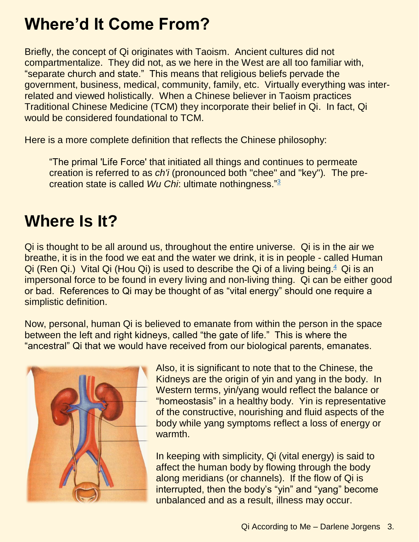## **Where'd It Come From?**

Briefly, the concept of Qi originates with Taoism. Ancient cultures did not compartmentalize. They did not, as we here in the West are all too familiar with, "separate church and state." This means that religious beliefs pervade the government, business, medical, community, family, etc. Virtually everything was interrelated and viewed holistically. When a Chinese believer in Taoism practices Traditional Chinese Medicine (TCM) they incorporate their belief in Qi. In fact, Qi would be considered foundational to TCM.

Here is a more complete definition that reflects the Chinese philosophy:

"The primal 'Life Force' that initiated all things and continues to permeate creation is referred to as *ch'i* (pronounced both "chee" and "key")*.* The precreation state is called *Wu Chi*: ultimate nothingness."[3](http://www.thetruelight.net/booksections/11religions/taoism_pillar1.htm)

#### **Where Is It?**

Qi is thought to be all around us, throughout the entire universe. Qi is in the air we breathe, it is in the food we eat and the water we drink, it is in people - called Human Qi (Ren Qi.) Vital Qi (Hou Qi) is used to describe the Qi of a living being. $4$  Qi is an impersonal force to be found in every living and non-living thing. Qi can be either good or bad. References to Qi may be thought of as "vital energy" should one require a simplistic definition.

Now, personal, human Qi is believed to emanate from within the person in the space between the left and right kidneys, called "the gate of life." This is where the "ancestral" Qi that we would have received from our biological parents, emanates.



Also, it is significant to note that to the Chinese, the Kidneys are the origin of yin and yang in the body. In Western terms, yin/yang would reflect the balance or "homeostasis" in a healthy body. Yin is representative of the constructive, nourishing and fluid aspects of the body while yang symptoms reflect a loss of energy or warmth.

In keeping with simplicity, Qi (vital energy) is said to affect the human body by flowing through the body along meridians (or channels). If the flow of Qi is interrupted, then the body's "yin" and "yang" become unbalanced and as a result, illness may occur.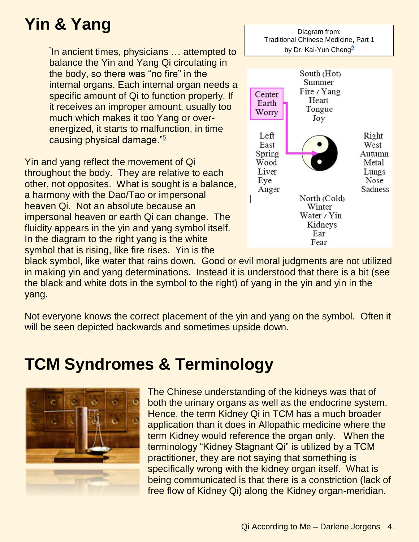# **Yin & Yang**

" In ancient times, physicians … attempted to balance the Yin and Yang Qi circulating in the body, so there was "no fire" in the internal organs. Each internal organ needs a specific amount of Qi to function properly. If it receives an improper amount, usually too much which makes it too Yang or overenergized, it starts to malfunction, in time causing physical damage."[5](http://ymaa.com/articles/basic-concepts-qi-and-qigong)

Yin and yang reflect the movement of Qi throughout the body. They are relative to each other, not opposites. What is sought is a balance, a harmony with the Dao/Tao or impersonal heaven Qi. Not an absolute because an impersonal heaven or earth Qi can change. The fluidity appears in the yin and yang symbol itself. In the diagram to the right yang is the white symbol that is rising, like fire rises. Yin is the



black symbol, like water that rains down. Good or evil moral judgments are not utilized in making yin and yang determinations. Instead it is understood that there is a bit (see the black and white dots in the symbol to the right) of yang in the yin and yin in the yang.

Not everyone knows the correct placement of the yin and yang on the symbol. Often it will be seen depicted backwards and sometimes upside down.

#### **TCM Syndromes & Terminology**

![](_page_3_Picture_7.jpeg)

The Chinese understanding of the kidneys was that of both the urinary organs as well as the endocrine system. Hence, the term Kidney Qi in TCM has a much broader application than it does in Allopathic medicine where the term Kidney would reference the organ only. When the terminology "Kidney Stagnant Qi" is utilized by a TCM practitioner, they are not saying that something is specifically wrong with the kidney organ itself. What is being communicated is that there is a constriction (lack of free flow of Kidney Qi) along the Kidney organ-meridian.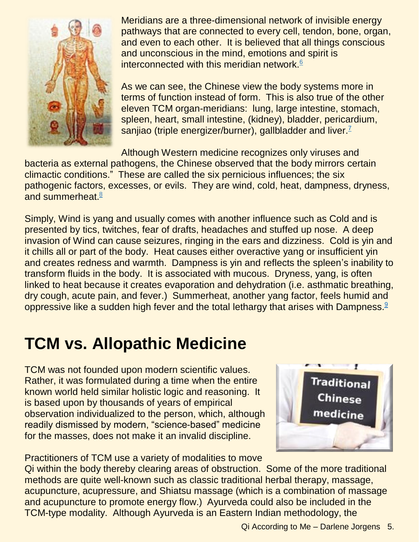![](_page_4_Picture_0.jpeg)

Meridians are a three-dimensional network of invisible energy pathways that are connected to every cell, tendon, bone, organ, and even to each other. It is believed that all things conscious and unconscious in the mind, emotions and spirit is interconnected with this meridian network.<sup>[6](http://www.tcmworld.org/what-is-tcm/the-meridian-connection/)</sup>

As we can see, the Chinese view the body systems more in terms of function instead of form. This is also true of the other eleven TCM organ-meridians: lung, large intestine, stomach, spleen, heart, small intestine, (kidney), bladder, pericardium, sanjiao (triple energizer/burner), gallbladder and liver  $<sup>7</sup>$  $<sup>7</sup>$  $<sup>7</sup>$ </sup>

Although Western medicine recognizes only viruses and bacteria as external pathogens, the Chinese observed that the body mirrors certain climactic conditions." These are called the six pernicious influences; the six pathogenic factors, excesses, or evils. They are wind, cold, heat, dampness, dryness, and summerheat. $8$ 

Simply, Wind is yang and usually comes with another influence such as Cold and is presented by tics, twitches, fear of drafts, headaches and stuffed up nose. A deep invasion of Wind can cause seizures, ringing in the ears and dizziness. Cold is yin and it chills all or part of the body. Heat causes either overactive yang or insufficient yin and creates redness and warmth. Dampness is yin and reflects the spleen's inability to transform fluids in the body. It is associated with mucous. Dryness, yang, is often linked to heat because it creates evaporation and dehydration (i.e. asthmatic breathing, dry cough, acute pain, and fever.) Summerheat, another yang factor, feels humid and oppressive like a sudden high fever and the total lethargy that arises with Dampness.<sup>[9](http://www.docmisha.com/understanding/what.htm)</sup>

## **TCM vs. Allopathic Medicine**

TCM was not founded upon modern scientific values. Rather, it was formulated during a time when the entire known world held similar holistic logic and reasoning. It is based upon by thousands of years of empirical observation individualized to the person, which, although readily dismissed by modern, "science-based" medicine for the masses, does not make it an invalid discipline.

![](_page_4_Picture_7.jpeg)

Practitioners of TCM use a variety of modalities to move Qi within the body thereby clearing areas of obstruction. Some of the more traditional methods are quite well-known such as classic traditional herbal therapy, massage, acupuncture, acupressure, and Shiatsu massage (which is a combination of massage and acupuncture to promote energy flow.) Ayurveda could also be included in the TCM-type modality. Although Ayurveda is an Eastern Indian methodology, the